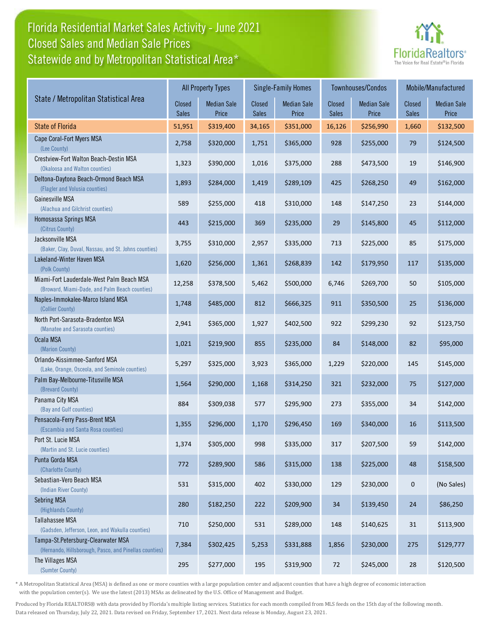# Florida Residential Market Sales Activity - June 2021 Statewide and by Metropolitan Statistical Area\* Closed Sales and Median Sale Prices



|                                                                                              |                        | <b>Single-Family Homes</b><br><b>All Property Types</b> |                        |                             |                 | Townhouses/Condos           | Mobile/Manufactured |                             |
|----------------------------------------------------------------------------------------------|------------------------|---------------------------------------------------------|------------------------|-----------------------------|-----------------|-----------------------------|---------------------|-----------------------------|
| State / Metropolitan Statistical Area                                                        | Closed<br><b>Sales</b> | <b>Median Sale</b><br>Price                             | Closed<br><b>Sales</b> | <b>Median Sale</b><br>Price | Closed<br>Sales | <b>Median Sale</b><br>Price | Closed<br>Sales     | <b>Median Sale</b><br>Price |
| <b>State of Florida</b>                                                                      | 51,951                 | \$319,400                                               | 34,165                 | \$351,000                   | 16,126          | \$256,990                   | 1,660               | \$132,500                   |
| Cape Coral-Fort Myers MSA<br>(Lee County)                                                    | 2,758                  | \$320,000                                               | 1,751                  | \$365,000                   | 928             | \$255,000                   | 79                  | \$124,500                   |
| Crestview-Fort Walton Beach-Destin MSA<br>(Okaloosa and Walton counties)                     | 1,323                  | \$390,000                                               | 1,016                  | \$375,000                   | 288             | \$473,500                   | 19                  | \$146,900                   |
| Deltona-Daytona Beach-Ormond Beach MSA<br>(Flagler and Volusia counties)                     | 1,893                  | \$284,000                                               | 1,419                  | \$289,109                   | 425             | \$268,250                   | 49                  | \$162,000                   |
| Gainesville MSA<br>(Alachua and Gilchrist counties)                                          | 589                    | \$255,000                                               | 418                    | \$310,000                   | 148             | \$147,250                   | 23                  | \$144,000                   |
| Homosassa Springs MSA<br>(Citrus County)                                                     | 443                    | \$215,000                                               | 369                    | \$235,000                   | 29              | \$145,800                   | 45                  | \$112,000                   |
| Jacksonville MSA<br>(Baker, Clay, Duval, Nassau, and St. Johns counties)                     | 3,755                  | \$310,000                                               | 2,957                  | \$335,000                   | 713             | \$225,000                   | 85                  | \$175,000                   |
| Lakeland-Winter Haven MSA<br>(Polk County)                                                   | 1,620                  | \$256,000                                               | 1,361                  | \$268,839                   | 142             | \$179,950                   | 117                 | \$135,000                   |
| Miami-Fort Lauderdale-West Palm Beach MSA<br>(Broward, Miami-Dade, and Palm Beach counties)  | 12,258                 | \$378,500                                               | 5,462                  | \$500,000                   | 6,746           | \$269,700                   | 50                  | \$105,000                   |
| Naples-Immokalee-Marco Island MSA<br>(Collier County)                                        | 1,748                  | \$485,000                                               | 812                    | \$666,325                   | 911             | \$350,500                   | 25                  | \$136,000                   |
| North Port-Sarasota-Bradenton MSA<br>(Manatee and Sarasota counties)                         | 2,941                  | \$365,000                                               | 1,927                  | \$402,500                   | 922             | \$299,230                   | 92                  | \$123,750                   |
| Ocala MSA<br>(Marion County)                                                                 | 1,021                  | \$219,900                                               | 855                    | \$235,000                   | 84              | \$148,000                   | 82                  | \$95,000                    |
| Orlando-Kissimmee-Sanford MSA<br>(Lake, Orange, Osceola, and Seminole counties)              | 5,297                  | \$325,000                                               | 3,923                  | \$365,000                   | 1,229           | \$220,000                   | 145                 | \$145,000                   |
| Palm Bay-Melbourne-Titusville MSA<br>(Brevard County)                                        | 1,564                  | \$290,000                                               | 1,168                  | \$314,250                   | 321             | \$232,000                   | 75                  | \$127,000                   |
| Panama City MSA<br>(Bay and Gulf counties)                                                   | 884                    | \$309,038                                               | 577                    | \$295,900                   | 273             | \$355,000                   | 34                  | \$142,000                   |
| Pensacola-Ferry Pass-Brent MSA<br>(Escambia and Santa Rosa counties)                         | 1,355                  | \$296,000                                               | 1,170                  | \$296,450                   | 169             | \$340,000                   | 16                  | \$113,500                   |
| Port St. Lucie MSA<br>(Martin and St. Lucie counties)                                        | 1,374                  | \$305,000                                               | 998                    | \$335,000                   | 317             | \$207,500                   | 59                  | \$142,000                   |
| Punta Gorda MSA<br>(Charlotte County)                                                        | 772                    | \$289,900                                               | 586                    | \$315,000                   | 138             | \$225,000                   | 48                  | \$158,500                   |
| Sebastian-Vero Beach MSA<br>(Indian River County)                                            | 531                    | \$315,000                                               | 402                    | \$330,000                   | 129             | \$230,000                   | $\mathbf 0$         | (No Sales)                  |
| Sebring MSA<br>(Highlands County)                                                            | 280                    | \$182,250                                               | 222                    | \$209,900                   | 34              | \$139,450                   | 24                  | \$86,250                    |
| Tallahassee MSA<br>(Gadsden, Jefferson, Leon, and Wakulla counties)                          | 710                    | \$250,000                                               | 531                    | \$289,000                   | 148             | \$140,625                   | 31                  | \$113,900                   |
| Tampa-St.Petersburg-Clearwater MSA<br>(Hernando, Hillsborough, Pasco, and Pinellas counties) | 7,384                  | \$302,425                                               | 5,253                  | \$331,888                   | 1,856           | \$230,000                   | 275                 | \$129,777                   |
| The Villages MSA<br>(Sumter County)                                                          | 295                    | \$277,000                                               | 195                    | \$319,900                   | $72\,$          | \$245,000                   | 28                  | \$120,500                   |

\* A Metropolitan Statistical Area (MSA) is defined as one or more counties with a large population center and adjacent counties that have a high degree of economic interaction with the population center(s). We use the latest (2013) MSAs as delineated by the U.S. Office of Management and Budget.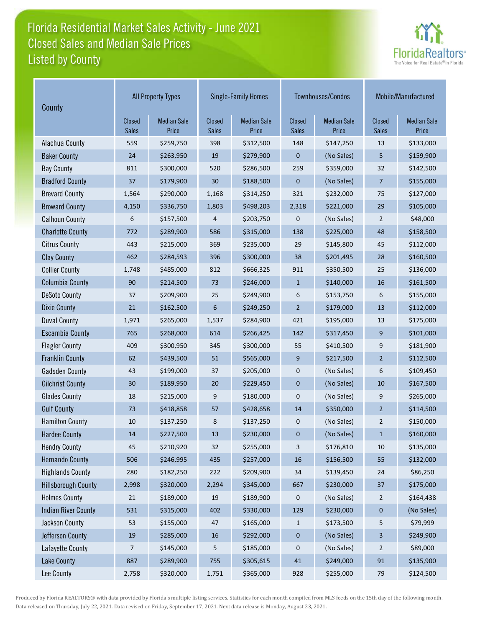# Florida Residential Market Sales Activity - June 2021 Listed by County Closed Sales and Median Sale Prices



| County                     | <b>All Property Types</b> |                             |                               | <b>Single-Family Homes</b>  |                        | Townhouses/Condos           | Mobile/Manufactured           |                             |
|----------------------------|---------------------------|-----------------------------|-------------------------------|-----------------------------|------------------------|-----------------------------|-------------------------------|-----------------------------|
|                            | Closed<br>Sales           | <b>Median Sale</b><br>Price | <b>Closed</b><br><b>Sales</b> | <b>Median Sale</b><br>Price | Closed<br><b>Sales</b> | <b>Median Sale</b><br>Price | <b>Closed</b><br><b>Sales</b> | <b>Median Sale</b><br>Price |
| Alachua County             | 559                       | \$259,750                   | 398                           | \$312,500                   | 148                    | \$147,250                   | 13                            | \$133,000                   |
| <b>Baker County</b>        | 24                        | \$263,950                   | 19                            | \$279,900                   | 0                      | (No Sales)                  | 5                             | \$159,900                   |
| <b>Bay County</b>          | 811                       | \$300,000                   | 520                           | \$286,500                   | 259                    | \$359,000                   | 32                            | \$142,500                   |
| <b>Bradford County</b>     | 37                        | \$179,900                   | 30                            | \$188,500                   | 0                      | (No Sales)                  | $\overline{7}$                | \$155,000                   |
| <b>Brevard County</b>      | 1,564                     | \$290,000                   | 1,168                         | \$314,250                   | 321                    | \$232,000                   | 75                            | \$127,000                   |
| <b>Broward County</b>      | 4,150                     | \$336,750                   | 1,803                         | \$498,203                   | 2,318                  | \$221,000                   | 29                            | \$105,000                   |
| <b>Calhoun County</b>      | 6                         | \$157,500                   | 4                             | \$203,750                   | 0                      | (No Sales)                  | $\overline{2}$                | \$48,000                    |
| <b>Charlotte County</b>    | 772                       | \$289,900                   | 586                           | \$315,000                   | 138                    | \$225,000                   | 48                            | \$158,500                   |
| <b>Citrus County</b>       | 443                       | \$215,000                   | 369                           | \$235,000                   | 29                     | \$145,800                   | 45                            | \$112,000                   |
| <b>Clay County</b>         | 462                       | \$284,593                   | 396                           | \$300,000                   | 38                     | \$201,495                   | 28                            | \$160,500                   |
| <b>Collier County</b>      | 1,748                     | \$485,000                   | 812                           | \$666,325                   | 911                    | \$350,500                   | 25                            | \$136,000                   |
| <b>Columbia County</b>     | 90                        | \$214,500                   | 73                            | \$246,000                   | $\mathbf{1}$           | \$140,000                   | 16                            | \$161,500                   |
| <b>DeSoto County</b>       | 37                        | \$209,900                   | 25                            | \$249,900                   | 6                      | \$153,750                   | 6                             | \$155,000                   |
| <b>Dixie County</b>        | 21                        | \$162,500                   | 6                             | \$249,250                   | $\overline{2}$         | \$179,000                   | 13                            | \$112,000                   |
| <b>Duval County</b>        | 1,971                     | \$265,000                   | 1,537                         | \$284,900                   | 421                    | \$195,000                   | 13                            | \$175,000                   |
| <b>Escambia County</b>     | 765                       | \$268,000                   | 614                           | \$266,425                   | 142                    | \$317,450                   | $9\,$                         | \$101,000                   |
| <b>Flagler County</b>      | 409                       | \$300,950                   | 345                           | \$300,000                   | 55                     | \$410,500                   | 9                             | \$181,900                   |
| <b>Franklin County</b>     | 62                        | \$439,500                   | 51                            | \$565,000                   | 9                      | \$217,500                   | $\overline{2}$                | \$112,500                   |
| <b>Gadsden County</b>      | 43                        | \$199,000                   | 37                            | \$205,000                   | 0                      | (No Sales)                  | 6                             | \$109,450                   |
| <b>Gilchrist County</b>    | 30                        | \$189,950                   | 20                            | \$229,450                   | 0                      | (No Sales)                  | 10                            | \$167,500                   |
| <b>Glades County</b>       | 18                        | \$215,000                   | 9                             | \$180,000                   | 0                      | (No Sales)                  | 9                             | \$265,000                   |
| <b>Gulf County</b>         | 73                        | \$418,858                   | 57                            | \$428,658                   | 14                     | \$350,000                   | $\overline{2}$                | \$114,500                   |
| <b>Hamilton County</b>     | 10                        | \$137,250                   | 8                             | \$137,250                   | 0                      | (No Sales)                  | $\overline{2}$                | \$150,000                   |
| <b>Hardee County</b>       | 14                        | \$227,500                   | 13                            | \$230,000                   | 0                      | (No Sales)                  | $\mathbf{1}$                  | \$160,000                   |
| <b>Hendry County</b>       | 45                        | \$210,920                   | 32                            | \$255,000                   | 3                      | \$176,810                   | 10                            | \$135,000                   |
| <b>Hernando County</b>     | 506                       | \$246,995                   | 435                           | \$257,000                   | $16\,$                 | \$156,500                   | 55                            | \$132,000                   |
| <b>Highlands County</b>    | 280                       | \$182,250                   | 222                           | \$209,900                   | 34                     | \$139,450                   | 24                            | \$86,250                    |
| <b>Hillsborough County</b> | 2,998                     | \$320,000                   | 2,294                         | \$345,000                   | 667                    | \$230,000                   | 37                            | \$175,000                   |
| <b>Holmes County</b>       | 21                        | \$189,000                   | 19                            | \$189,900                   | 0                      | (No Sales)                  | $\overline{2}$                | \$164,438                   |
| <b>Indian River County</b> | 531                       | \$315,000                   | 402                           | \$330,000                   | 129                    | \$230,000                   | $\pmb{0}$                     | (No Sales)                  |
| Jackson County             | 53                        | \$155,000                   | 47                            | \$165,000                   | $\mathbf{1}$           | \$173,500                   | 5                             | \$79,999                    |
| Jefferson County           | 19                        | \$285,000                   | 16                            | \$292,000                   | $\pmb{0}$              | (No Sales)                  | 3                             | \$249,900                   |
| Lafayette County           | 7                         | \$145,000                   | 5                             | \$185,000                   | 0                      | (No Sales)                  | $\sqrt{2}$                    | \$89,000                    |
| <b>Lake County</b>         | 887                       | \$289,900                   | 755                           | \$305,615                   | $41\,$                 | \$249,000                   | 91                            | \$135,900                   |
| Lee County                 | 2,758                     | \$320,000                   | 1,751                         | \$365,000                   | 928                    | \$255,000                   | 79                            | \$124,500                   |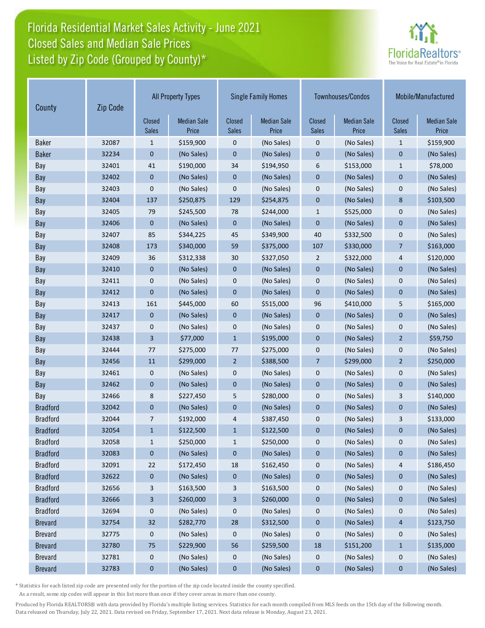# Florida Residential Market Sales Activity - June 2021 Listed by Zip Code (Grouped by County)\* Closed Sales and Median Sale Prices



| Zip Code<br>County |       |                        | <b>All Property Types</b>   | <b>Single Family Homes</b>    |                             | Townhouses/Condos      |                             | Mobile/Manufactured    |                             |
|--------------------|-------|------------------------|-----------------------------|-------------------------------|-----------------------------|------------------------|-----------------------------|------------------------|-----------------------------|
|                    |       | Closed<br><b>Sales</b> | <b>Median Sale</b><br>Price | <b>Closed</b><br><b>Sales</b> | <b>Median Sale</b><br>Price | Closed<br><b>Sales</b> | <b>Median Sale</b><br>Price | <b>Closed</b><br>Sales | <b>Median Sale</b><br>Price |
| <b>Baker</b>       | 32087 | 1                      | \$159,900                   | 0                             | (No Sales)                  | 0                      | (No Sales)                  | $\mathbf{1}$           | \$159,900                   |
| <b>Baker</b>       | 32234 | 0                      | (No Sales)                  | 0                             | (No Sales)                  | $\mathbf 0$            | (No Sales)                  | $\mathbf 0$            | (No Sales)                  |
| Bay                | 32401 | 41                     | \$190,000                   | 34                            | \$194,950                   | 6                      | \$153,000                   | $\mathbf{1}$           | \$78,000                    |
| Bay                | 32402 | 0                      | (No Sales)                  | 0                             | (No Sales)                  | $\mathbf 0$            | (No Sales)                  | $\mathbf 0$            | (No Sales)                  |
| Bay                | 32403 | 0                      | (No Sales)                  | 0                             | (No Sales)                  | 0                      | (No Sales)                  | 0                      | (No Sales)                  |
| Bay                | 32404 | 137                    | \$250,875                   | 129                           | \$254,875                   | $\mathbf 0$            | (No Sales)                  | 8                      | \$103,500                   |
| Bay                | 32405 | 79                     | \$245,500                   | 78                            | \$244,000                   | $\mathbf{1}$           | \$525,000                   | $\mathbf 0$            | (No Sales)                  |
| Bay                | 32406 | $\mathbf{0}$           | (No Sales)                  | $\mathbf{0}$                  | (No Sales)                  | $\mathbf 0$            | (No Sales)                  | $\overline{0}$         | (No Sales)                  |
| Bay                | 32407 | 85                     | \$344,225                   | 45                            | \$349,900                   | 40                     | \$332,500                   | 0                      | (No Sales)                  |
| Bay                | 32408 | 173                    | \$340,000                   | 59                            | \$375,000                   | 107                    | \$330,000                   | $\overline{7}$         | \$163,000                   |
| Bay                | 32409 | 36                     | \$312,338                   | 30                            | \$327,050                   | $\overline{2}$         | \$322,000                   | 4                      | \$120,000                   |
| Bay                | 32410 | 0                      | (No Sales)                  | 0                             | (No Sales)                  | $\mathbf 0$            | (No Sales)                  | $\mathbf{0}$           | (No Sales)                  |
| Bay                | 32411 | 0                      | (No Sales)                  | 0                             | (No Sales)                  | 0                      | (No Sales)                  | $\mathbf 0$            | (No Sales)                  |
| Bay                | 32412 | $\overline{0}$         | (No Sales)                  | 0                             | (No Sales)                  | $\mathbf 0$            | (No Sales)                  | $\mathbf 0$            | (No Sales)                  |
| Bay                | 32413 | 161                    | \$445,000                   | 60                            | \$515,000                   | 96                     | \$410,000                   | 5                      | \$165,000                   |
| Bay                | 32417 | $\mathbf 0$            | (No Sales)                  | 0                             | (No Sales)                  | $\mathbf 0$            | (No Sales)                  | $\mathbf 0$            | (No Sales)                  |
| Bay                | 32437 | 0                      | (No Sales)                  | 0                             | (No Sales)                  | 0                      | (No Sales)                  | 0                      | (No Sales)                  |
| Bay                | 32438 | 3                      | \$77,000                    | $\mathbf{1}$                  | \$195,000                   | $\mathbf 0$            | (No Sales)                  | $\overline{2}$         | \$59,750                    |
| Bay                | 32444 | 77                     | \$275,000                   | 77                            | \$275,000                   | 0                      | (No Sales)                  | 0                      | (No Sales)                  |
| Bay                | 32456 | 11                     | \$299,000                   | $\overline{2}$                | \$388,500                   | $\overline{7}$         | \$299,000                   | $\overline{2}$         | \$250,000                   |
| Bay                | 32461 | 0                      | (No Sales)                  | 0                             | (No Sales)                  | 0                      | (No Sales)                  | 0                      | (No Sales)                  |
| Bay                | 32462 | 0                      | (No Sales)                  | 0                             | (No Sales)                  | $\mathbf 0$            | (No Sales)                  | $\mathbf 0$            | (No Sales)                  |
| Bay                | 32466 | 8                      | \$227,450                   | 5                             | \$280,000                   | 0                      | (No Sales)                  | 3                      | \$140,000                   |
| <b>Bradford</b>    | 32042 | $\mathbf 0$            | (No Sales)                  | 0                             | (No Sales)                  | $\mathbf 0$            | (No Sales)                  | $\mathbf{0}$           | (No Sales)                  |
| <b>Bradford</b>    | 32044 | 7                      | \$192,000                   | 4                             | \$387,450                   | $\mathbf 0$            | (No Sales)                  | 3                      | \$133,000                   |
| <b>Bradford</b>    | 32054 | $\mathbf{1}$           | \$122,500                   | $\mathbf{1}$                  | \$122,500                   | $\mathbf 0$            | (No Sales)                  | 0                      | (No Sales)                  |
| <b>Bradford</b>    | 32058 | $\mathbf{1}$           | \$250,000                   | $\mathbf{1}$                  | \$250,000                   | 0                      | (No Sales)                  | 0                      | (No Sales)                  |
| <b>Bradford</b>    | 32083 | 0                      | (No Sales)                  | 0                             | (No Sales)                  | 0                      | (No Sales)                  | 0                      | (No Sales)                  |
| <b>Bradford</b>    | 32091 | 22                     | \$172,450                   | 18                            | \$162,450                   | 0                      | (No Sales)                  | 4                      | \$186,450                   |
| <b>Bradford</b>    | 32622 | $\bf{0}$               | (No Sales)                  | 0                             | (No Sales)                  | $\pmb{0}$              | (No Sales)                  | $\pmb{0}$              | (No Sales)                  |
| <b>Bradford</b>    | 32656 | 3                      | \$163,500                   | 3                             | \$163,500                   | $\boldsymbol{0}$       | (No Sales)                  | 0                      | (No Sales)                  |
| <b>Bradford</b>    | 32666 | 3                      | \$260,000                   | 3                             | \$260,000                   | $\pmb{0}$              | (No Sales)                  | $\pmb{0}$              | (No Sales)                  |
| <b>Bradford</b>    | 32694 | 0                      | (No Sales)                  | 0                             | (No Sales)                  | 0                      | (No Sales)                  | 0                      | (No Sales)                  |
| <b>Brevard</b>     | 32754 | 32                     | \$282,770                   | 28                            | \$312,500                   | $\pmb{0}$              | (No Sales)                  | $\overline{4}$         | \$123,750                   |
| <b>Brevard</b>     | 32775 | 0                      | (No Sales)                  | 0                             | (No Sales)                  | $\boldsymbol{0}$       | (No Sales)                  | 0                      | (No Sales)                  |
| <b>Brevard</b>     | 32780 | 75                     | \$229,900                   | 56                            | \$259,500                   | 18                     | \$151,200                   | $\mathbf{1}$           | \$135,000                   |
| <b>Brevard</b>     | 32781 | 0                      | (No Sales)                  | 0                             | (No Sales)                  | $\boldsymbol{0}$       | (No Sales)                  | $\mathbf 0$            | (No Sales)                  |
| <b>Brevard</b>     | 32783 | $\bf{0}$               | (No Sales)                  | $\mathbf 0$                   | (No Sales)                  | $\boldsymbol{0}$       | (No Sales)                  | $\boldsymbol{0}$       | (No Sales)                  |

\* Statistics for each listed zip code are presented only for the portion of the zip code located inside the county specified.

As a result, some zip codes will appear in this list more than once if they cover areas in more than one county.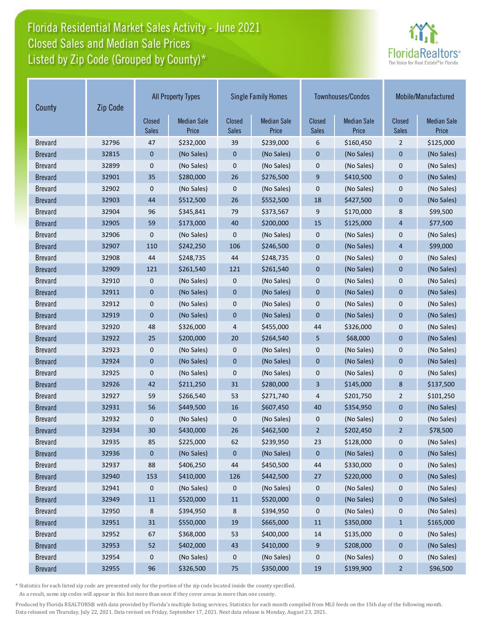# Florida Residential Market Sales Activity - June 2021 Listed by Zip Code (Grouped by County)\* Closed Sales and Median Sale Prices



| Zip Code<br>County |       |                        | <b>All Property Types</b>   | <b>Single Family Homes</b>    |                             | Townhouses/Condos      |                             | Mobile/Manufactured |                             |
|--------------------|-------|------------------------|-----------------------------|-------------------------------|-----------------------------|------------------------|-----------------------------|---------------------|-----------------------------|
|                    |       | Closed<br><b>Sales</b> | <b>Median Sale</b><br>Price | <b>Closed</b><br><b>Sales</b> | <b>Median Sale</b><br>Price | Closed<br><b>Sales</b> | <b>Median Sale</b><br>Price | Closed<br>Sales     | <b>Median Sale</b><br>Price |
| <b>Brevard</b>     | 32796 | 47                     | \$232,000                   | 39                            | \$239,000                   | 6                      | \$160,450                   | $\overline{2}$      | \$125,000                   |
| <b>Brevard</b>     | 32815 | $\mathbf 0$            | (No Sales)                  | $\mathbf 0$                   | (No Sales)                  | 0                      | (No Sales)                  | $\mathbf 0$         | (No Sales)                  |
| <b>Brevard</b>     | 32899 | 0                      | (No Sales)                  | $\mathbf 0$                   | (No Sales)                  | 0                      | (No Sales)                  | $\mathbf 0$         | (No Sales)                  |
| <b>Brevard</b>     | 32901 | 35                     | \$280,000                   | 26                            | \$276,500                   | 9                      | \$410,500                   | $\mathbf 0$         | (No Sales)                  |
| <b>Brevard</b>     | 32902 | 0                      | (No Sales)                  | 0                             | (No Sales)                  | 0                      | (No Sales)                  | $\mathbf 0$         | (No Sales)                  |
| <b>Brevard</b>     | 32903 | 44                     | \$512,500                   | 26                            | \$552,500                   | 18                     | \$427,500                   | $\mathbf 0$         | (No Sales)                  |
| <b>Brevard</b>     | 32904 | 96                     | \$345,841                   | 79                            | \$373,567                   | 9                      | \$170,000                   | 8                   | \$99,500                    |
| <b>Brevard</b>     | 32905 | 59                     | \$173,000                   | 40                            | \$200,000                   | 15                     | \$125,000                   | 4                   | \$77,500                    |
| <b>Brevard</b>     | 32906 | 0                      | (No Sales)                  | $\mathbf 0$                   | (No Sales)                  | $\mathbf 0$            | (No Sales)                  | $\mathbf 0$         | (No Sales)                  |
| <b>Brevard</b>     | 32907 | 110                    | \$242,250                   | 106                           | \$246,500                   | $\mathbf 0$            | (No Sales)                  | 4                   | \$99,000                    |
| <b>Brevard</b>     | 32908 | 44                     | \$248,735                   | 44                            | \$248,735                   | $\mathbf 0$            | (No Sales)                  | $\mathbf 0$         | (No Sales)                  |
| <b>Brevard</b>     | 32909 | 121                    | \$261,540                   | 121                           | \$261,540                   | $\mathbf 0$            | (No Sales)                  | $\mathbf 0$         | (No Sales)                  |
| <b>Brevard</b>     | 32910 | 0                      | (No Sales)                  | 0                             | (No Sales)                  | 0                      | (No Sales)                  | $\mathbf 0$         | (No Sales)                  |
| <b>Brevard</b>     | 32911 | $\mathbf 0$            | (No Sales)                  | $\mathbf 0$                   | (No Sales)                  | $\mathbf 0$            | (No Sales)                  | $\mathbf 0$         | (No Sales)                  |
| <b>Brevard</b>     | 32912 | 0                      | (No Sales)                  | $\mathbf 0$                   | (No Sales)                  | $\mathbf 0$            | (No Sales)                  | $\mathbf 0$         | (No Sales)                  |
| <b>Brevard</b>     | 32919 | $\mathbf 0$            | (No Sales)                  | $\mathbf 0$                   | (No Sales)                  | $\overline{0}$         | (No Sales)                  | $\mathbf 0$         | (No Sales)                  |
| <b>Brevard</b>     | 32920 | 48                     | \$326,000                   | 4                             | \$455,000                   | 44                     | \$326,000                   | $\mathbf 0$         | (No Sales)                  |
| <b>Brevard</b>     | 32922 | 25                     | \$200,000                   | 20                            | \$264,540                   | 5                      | \$68,000                    | $\mathbf 0$         | (No Sales)                  |
| <b>Brevard</b>     | 32923 | 0                      | (No Sales)                  | $\mathbf 0$                   | (No Sales)                  | $\mathbf 0$            | (No Sales)                  | 0                   | (No Sales)                  |
| <b>Brevard</b>     | 32924 | $\mathbf{0}$           | (No Sales)                  | $\overline{0}$                | (No Sales)                  | $\mathbf 0$            | (No Sales)                  | $\overline{0}$      | (No Sales)                  |
| <b>Brevard</b>     | 32925 | 0                      | (No Sales)                  | $\mathbf 0$                   | (No Sales)                  | 0                      | (No Sales)                  | 0                   | (No Sales)                  |
| <b>Brevard</b>     | 32926 | 42                     | \$211,250                   | 31                            | \$280,000                   | 3                      | \$145,000                   | 8                   | \$137,500                   |
| <b>Brevard</b>     | 32927 | 59                     | \$266,540                   | 53                            | \$271,740                   | 4                      | \$201,750                   | 2                   | \$101,250                   |
| <b>Brevard</b>     | 32931 | 56                     | \$449,500                   | 16                            | \$607,450                   | 40                     | \$354,950                   | $\mathbf 0$         | (No Sales)                  |
| <b>Brevard</b>     | 32932 | 0                      | (No Sales)                  | $\mathbf 0$                   | (No Sales)                  | $\mathbf 0$            | (No Sales)                  | 0                   | (No Sales)                  |
| <b>Brevard</b>     | 32934 | 30                     | \$430,000                   | 26                            | \$462,500                   | $\overline{2}$         | \$202,450                   | $\overline{2}$      | \$78,500                    |
| <b>Brevard</b>     | 32935 | 85                     | \$225,000                   | 62                            | \$239,950                   | 23                     | \$128,000                   | 0                   | (No Sales)                  |
| <b>Brevard</b>     | 32936 | 0                      | (No Sales)                  | 0                             | (No Sales)                  | 0                      | (No Sales)                  | 0                   | (No Sales)                  |
| <b>Brevard</b>     | 32937 | 88                     | \$406,250                   | 44                            | \$450,500                   | 44                     | \$330,000                   | 0                   | (No Sales)                  |
| <b>Brevard</b>     | 32940 | 153                    | \$410,000                   | 126                           | \$442,500                   | 27                     | \$220,000                   | 0                   | (No Sales)                  |
| <b>Brevard</b>     | 32941 | 0                      | (No Sales)                  | 0                             | (No Sales)                  | 0                      | (No Sales)                  | 0                   | (No Sales)                  |
| <b>Brevard</b>     | 32949 | ${\bf 11}$             | \$520,000                   | $11\,$                        | \$520,000                   | 0                      | (No Sales)                  | $\pmb{0}$           | (No Sales)                  |
| <b>Brevard</b>     | 32950 | 8                      | \$394,950                   | 8                             | \$394,950                   | 0                      | (No Sales)                  | 0                   | (No Sales)                  |
| <b>Brevard</b>     | 32951 | 31                     | \$550,000                   | 19                            | \$665,000                   | 11                     | \$350,000                   | $\mathbf{1}$        | \$165,000                   |
| <b>Brevard</b>     | 32952 | 67                     | \$368,000                   | 53                            | \$400,000                   | 14                     | \$135,000                   | 0                   | (No Sales)                  |
| <b>Brevard</b>     | 32953 | 52                     | \$402,000                   | 43                            | \$410,000                   | 9                      | \$208,000                   | $\bf{0}$            | (No Sales)                  |
| <b>Brevard</b>     | 32954 | 0                      | (No Sales)                  | 0                             | (No Sales)                  | 0                      | (No Sales)                  | 0                   | (No Sales)                  |
| <b>Brevard</b>     | 32955 | 96                     | \$326,500                   | 75                            | \$350,000                   | 19                     | \$199,900                   | $\overline{a}$      | \$96,500                    |

\* Statistics for each listed zip code are presented only for the portion of the zip code located inside the county specified.

As a result, some zip codes will appear in this list more than once if they cover areas in more than one county.